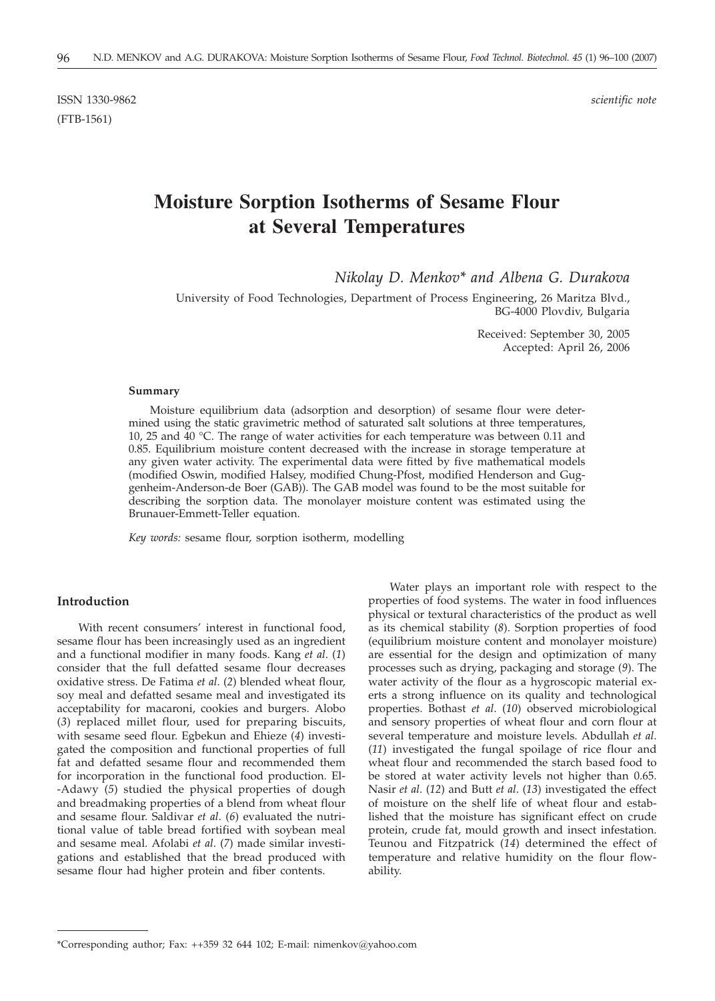ISSN 1330-9862 *scientific note* (FTB-1561)

# **Moisture Sorption Isotherms of Sesame Flour at Several Temperatures**

*Nikolay D. Menkov\* and Albena G. Durakova*

University of Food Technologies, Department of Process Engineering, 26 Maritza Blvd., BG-4000 Plovdiv, Bulgaria

> Received: September 30, 2005 Accepted: April 26, 2006

### **Summary**

Moisture equilibrium data (adsorption and desorption) of sesame flour were determined using the static gravimetric method of saturated salt solutions at three temperatures, 10, 25 and 40 °C. The range of water activities for each temperature was between 0.11 and 0.85. Equilibrium moisture content decreased with the increase in storage temperature at any given water activity. The experimental data were fitted by five mathematical models (modified Oswin, modified Halsey, modified Chung-Pfost, modified Henderson and Guggenheim-Anderson-de Boer (GAB)). The GAB model was found to be the most suitable for describing the sorption data. The monolayer moisture content was estimated using the Brunauer-Emmett-Teller equation.

*Key words:* sesame flour, sorption isotherm, modelling

# **Introduction**

With recent consumers' interest in functional food, sesame flour has been increasingly used as an ingredient and a functional modifier in many foods. Kang *et al*. (*1*) consider that the full defatted sesame flour decreases oxidative stress. De Fatima *et al*. (*2*) blended wheat flour, soy meal and defatted sesame meal and investigated its acceptability for macaroni, cookies and burgers. Alobo (*3*) replaced millet flour, used for preparing biscuits, with sesame seed flour. Egbekun and Ehieze (*4*) investigated the composition and functional properties of full fat and defatted sesame flour and recommended them for incorporation in the functional food production. El- -Adawy (*5*) studied the physical properties of dough and breadmaking properties of a blend from wheat flour and sesame flour. Saldivar *et al*. (*6*) evaluated the nutritional value of table bread fortified with soybean meal and sesame meal. Afolabi *et al*. (*7*) made similar investigations and established that the bread produced with sesame flour had higher protein and fiber contents.

Water plays an important role with respect to the properties of food systems. The water in food influences physical or textural characteristics of the product as well as its chemical stability (*8*). Sorption properties of food (equilibrium moisture content and monolayer moisture) are essential for the design and optimization of many processes such as drying, packaging and storage (*9*). The water activity of the flour as a hygroscopic material exerts a strong influence on its quality and technological properties. Bothast *et al*. (*10*) observed microbiological and sensory properties of wheat flour and corn flour at several temperature and moisture levels. Abdullah *et al*. (*11*) investigated the fungal spoilage of rice flour and wheat flour and recommended the starch based food to be stored at water activity levels not higher than 0.65. Nasir *et al*. (*12*) and Butt *et al*. (*13*) investigated the effect of moisture on the shelf life of wheat flour and established that the moisture has significant effect on crude protein, crude fat, mould growth and insect infestation. Teunou and Fitzpatrick (*14*) determined the effect of temperature and relative humidity on the flour flowability.

<sup>\*</sup>Corresponding author; Fax: ++359 32 644 102; E-mail: nimenkov*@*yahoo.com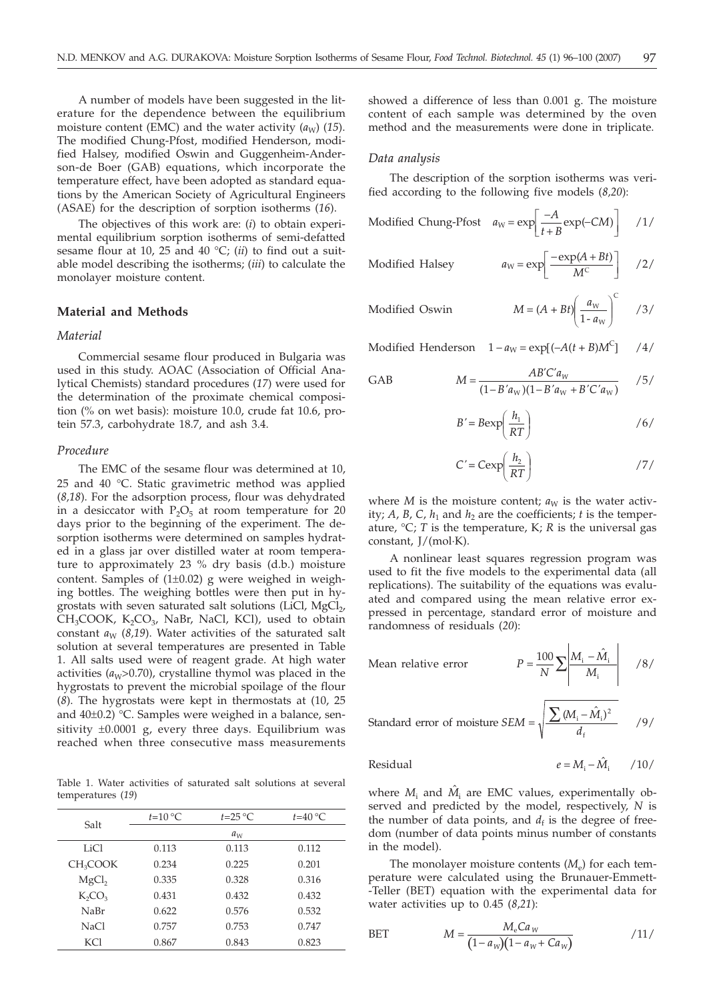A number of models have been suggested in the literature for the dependence between the equilibrium moisture content (EMC) and the water activity  $(a_W)$  (15). The modified Chung-Pfost, modified Henderson, modified Halsey, modified Oswin and Guggenheim-Anderson-de Boer (GAB) equations, which incorporate the temperature effect, have been adopted as standard equations by the American Society of Agricultural Engineers (ASAE) for the description of sorption isotherms (*16*).

The objectives of this work are: (*i*) to obtain experimental equilibrium sorption isotherms of semi-defatted sesame flour at 10, 25 and 40 °C; (*ii*) to find out a suitable model describing the isotherms; (*iii*) to calculate the monolayer moisture content.

## **Material and Methods**

#### *Material*

Commercial sesame flour produced in Bulgaria was used in this study. AOAC (Association of Official Analytical Chemists) standard procedures (*17*) were used for the determination of the proximate chemical composition (% on wet basis): moisture 10.0, crude fat 10.6, protein 57.3, carbohydrate 18.7, and ash 3.4.

#### *Procedure*

The EMC of the sesame flour was determined at 10, 25 and 40 °C. Static gravimetric method was applied (*8,18*). For the adsorption process, flour was dehydrated in a desiccator with  $P_2O_5$  at room temperature for 20 days prior to the beginning of the experiment. The desorption isotherms were determined on samples hydrated in a glass jar over distilled water at room temperature to approximately 23 % dry basis (d.b.) moisture content. Samples of  $(1\pm0.02)$  g were weighed in weighing bottles. The weighing bottles were then put in hygrostats with seven saturated salt solutions (LiCl,  $MgCl<sub>2</sub>$ ,  $CH_3COOK$ ,  $K_2CO_3$ , NaBr, NaCl, KCl), used to obtain constant  $a_W$  (8,19). Water activities of the saturated salt solution at several temperatures are presented in Table 1. All salts used were of reagent grade. At high water activities  $(a<sub>W</sub> > 0.70)$ , crystalline thymol was placed in the hygrostats to prevent the microbial spoilage of the flour (*8*). The hygrostats were kept in thermostats at (10, 25 and 40±0.2) °C. Samples were weighed in a balance, sensitivity  $\pm 0.0001$  g, every three days. Equilibrium was reached when three consecutive mass measurements

Table 1. Water activities of saturated salt solutions at several temperatures (*19*)

| Salt                 | $t=10^{\circ}C$ | $t=25^{\circ}C$ | $t=40^{\circ}C$ |
|----------------------|-----------------|-----------------|-----------------|
|                      |                 | $a_w$           |                 |
| LiCl                 | 0.113           | 0.113           | 0.112           |
| CH <sub>3</sub> COOK | 0.234           | 0.225           | 0.201           |
| MgCl <sub>2</sub>    | 0.335           | 0.328           | 0.316           |
| $K_2CO_3$            | 0.431           | 0.432           | 0.432           |
| NaBr                 | 0.622           | 0.576           | 0.532           |
| NaCl                 | 0.757           | 0.753           | 0.747           |
| KCl                  | 0.867           | 0.843           | 0.823           |

showed a difference of less than 0.001 g. The moisture content of each sample was determined by the oven method and the measurements were done in triplicate.

#### *Data analysis*

The description of the sorption isotherms was verified according to the following five models (*8,20*):

Modified Chung-Pfost 
$$
a_W = \exp\left[\frac{-A}{t+B} \exp(-CM)\right]
$$
 /1/

Modified Halsey  $a_W$ 

$$
= \exp\left[\frac{-\exp(A+Bt)}{M^C}\right] \quad /2/
$$

Modified Oswin

\n
$$
M = (A + Bt) \left( \frac{a_W}{1 - a_W} \right)^c \quad \text{(3)}
$$

Modified Henderson  $1 - a_W = \exp[(-A(t+B)M^C]$  /4/

GAB 
$$
M = \frac{AB'C'a_W}{(1 - B'a_W)(1 - B'a_W + B'C'a_W)} \quad \text{(5)}
$$

$$
B' = B \exp\left(\frac{h_1}{RT}\right) \tag{6}
$$

$$
C' = C \exp\left(\frac{h_2}{RT}\right) \tag{7/}
$$

where *M* is the moisture content;  $a_W$  is the water activity;  $A$ ,  $B$ ,  $C$ ,  $h_1$  and  $h_2$  are the coefficients;  $t$  is the temperature,  ${}^{\circ}C$ ; *T* is the temperature, *K*; *R* is the universal gas constant, J/(mol·K).

A nonlinear least squares regression program was used to fit the five models to the experimental data (all replications). The suitability of the equations was evaluated and compared using the mean relative error expressed in percentage, standard error of moisture and randomness of residuals (*20*):

Mean relative error 
$$
P = \frac{100}{N} \sum \left| \frac{M_i - \hat{M}_i}{M_i} \right| \quad /8
$$

Standard error of moisture 
$$
SEM = \sqrt{\frac{\sum (M_i - \hat{M}_i)^2}{d_f}}
$$
 /9/

Residual 
$$
e = M_i - \hat{M}_i \qquad /10/
$$

where  $M_i$  and  $\hat{M}_i$  are EMC values, experimentally observed and predicted by the model, respectively, *N* is the number of data points, and  $d_f$  is the degree of freedom (number of data points minus number of constants in the model).

The monolayer moisture contents  $(M<sub>e</sub>)$  for each temperature were calculated using the Brunauer-Emmett- -Teller (BET) equation with the experimental data for water activities up to 0.45 (*8*,*21*):

$$
BET \t\t M = \frac{M_e Ca_W}{(1 - a_W)(1 - a_W + Ca_W)} \t\t /11/
$$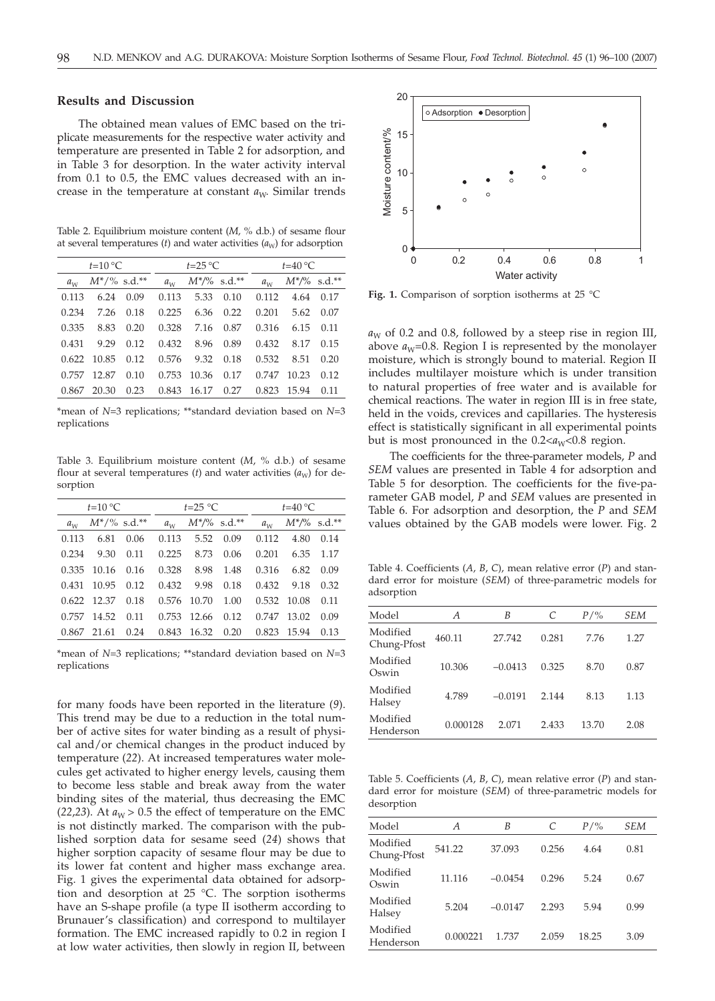## **Results and Discussion**

The obtained mean values of EMC based on the triplicate measurements for the respective water activity and temperature are presented in Table 2 for adsorption, and in Table 3 for desorption. In the water activity interval from 0.1 to 0.5, the EMC values decreased with an increase in the temperature at constant  $a_W$ . Similar trends

Table 2. Equilibrium moisture content (*M,* % d.b.) of sesame flour at several temperatures (*t*) and water activities  $(a<sub>W</sub>)$  for adsorption

| $t=10^{\circ}C$ |                 |      | $t=25\text{ °C}$ |       |                 | $t=40^{\circ}C$ |                 |      |
|-----------------|-----------------|------|------------------|-------|-----------------|-----------------|-----------------|------|
| $a_w$           | $M^*/\%$ s.d.** |      | $a_{W}$          |       | $M^*/\%$ s.d.** | $a_{\rm w}$     | $M^*/\%$ s.d.** |      |
| 0.113           | 6.24            | 0.09 | 0.113            | 5.33  | 0.10            | 0.112           | 4.64            | 0.17 |
| 0.234           | 7.26            | 0.18 | 0.225            | 6.36  | 0.22            | 0.201           | 5.62            | 0.07 |
| 0.335           | 8.83            | 0.20 | 0.328            |       | 7.16 0.87       | 0.316           | 6.15            | 0.11 |
| 0.431           | 9.29            | 0.12 | 0.432            | 8.96  | 0.89            | 0.432           | 8.17            | 0.15 |
|                 | 0.622 10.85     | 0.12 | 0.576            |       | 9.32 0.18       | 0.532           | 8.51            | 0.20 |
| 0.757           | 12.87           | 0.10 | 0.753            | 10.36 | 0.17            | 0.747           | 10.23           | 0.12 |
|                 | 0.867 20.30     | 0.23 | 0.843            | 16.17 | 0.27            | 0.823           | 15.94           | 0.11 |
|                 |                 |      |                  |       |                 |                 |                 |      |

\*mean of *N*=3 replications; \*\*standard deviation based on *N*=3 replications

Table 3. Equilibrium moisture content (*M*, % d.b.) of sesame flour at several temperatures (*t*) and water activities  $(a<sub>W</sub>)$  for desorption

| $t=10^{\circ}C$ |                 |      | $t=25$ °C |                      |                 | $t=40^{\circ}C$ |                   |           |
|-----------------|-----------------|------|-----------|----------------------|-----------------|-----------------|-------------------|-----------|
| $a_w$           | $M^*/\%$ s.d.** |      | $a_w$     |                      | $M^*/\%$ s.d.** | $a_{W}$         | $M^{*/\%}$ s.d.** |           |
| 0.113           | 6.81            | 0.06 | 0.113     |                      | 5.52 0.09       | 0.112           |                   | 4.80 0.14 |
| 0.234           | 9.30 0.11       |      | 0.225     |                      | 8.73 0.06       | 0.201           |                   | 6.35 1.17 |
|                 | 0.335 10.16     | 0.16 | 0.328     |                      | 8.98 1.48       | 0.316           |                   | 6.82 0.09 |
|                 | 0.431 10.95     | 0.12 | 0.432     | 9.98                 | 0.18            | 0.432           | 9.18              | 0.32      |
|                 | $0.622$ 12.37   | 0.18 |           | 0.576 10.70          | 1.00            |                 | 0.532 10.08       | 0.11      |
|                 | 0.757 14.52     | 0.11 |           | 0.753 12.66          | 0.12            | 0.747           | 13.02             | 0.09      |
|                 | $0.867$ 21.61   | 0.24 |           | $0.843$ 16.32 $0.20$ |                 |                 | 0.823 15.94       | 0.13      |

\*mean of *N*=3 replications; \*\*standard deviation based on *N*=3 replications

for many foods have been reported in the literature (*9*). This trend may be due to a reduction in the total number of active sites for water binding as a result of physical and/or chemical changes in the product induced by temperature (*22*). At increased temperatures water molecules get activated to higher energy levels, causing them to become less stable and break away from the water binding sites of the material, thus decreasing the EMC (22,23). At  $a_W > 0.5$  the effect of temperature on the EMC is not distinctly marked. The comparison with the published sorption data for sesame seed (*24*) shows that higher sorption capacity of sesame flour may be due to its lower fat content and higher mass exchange area. Fig. 1 gives the experimental data obtained for adsorption and desorption at 25 °C. The sorption isotherms have an S-shape profile (a type II isotherm according to Brunauer's classification) and correspond to multilayer formation. The EMC increased rapidly to 0.2 in region I at low water activities, then slowly in region II, between



**Fig. 1.** Comparison of sorption isotherms at 25 °C

 $a_W$  of 0.2 and 0.8, followed by a steep rise in region III, above  $a_W$ =0.8. Region I is represented by the monolayer moisture, which is strongly bound to material. Region II includes multilayer moisture which is under transition to natural properties of free water and is available for chemical reactions. The water in region III is in free state, held in the voids, crevices and capillaries. The hysteresis effect is statistically significant in all experimental points but is most pronounced in the  $0.2 < a<sub>W</sub> < 0.8$  region.

The coefficients for the three-parameter models, *P* and *SEM* values are presented in Table 4 for adsorption and Table 5 for desorption. The coefficients for the five-parameter GAB model, *P* and *SEM* values are presented in Table 6. For adsorption and desorption, the *P* and *SEM* values obtained by the GAB models were lower. Fig. 2

Table 4. Coefficients (*A*, *B*, *C*), mean relative error (*P*) and standard error for moisture (*SEM*) of three-parametric models for adsorption

| Model                   | А        | B         | C     | $P/\%$ | SEM  |
|-------------------------|----------|-----------|-------|--------|------|
| Modified<br>Chung-Pfost | 460.11   | 27.742    | 0.281 | 7.76   | 1.27 |
| Modified<br>Oswin       | 10.306   | $-0.0413$ | 0.325 | 8.70   | 0.87 |
| Modified<br>Halsey      | 4.789    | $-0.0191$ | 2.144 | 8.13   | 1.13 |
| Modified<br>Henderson   | 0.000128 | 2.071     | 2.433 | 13.70  | 2.08 |

Table 5. Coefficients (*A*, *B*, *C*), mean relative error (*P*) and standard error for moisture (*SEM*) of three-parametric models for desorption

| Model                   | Α        | B         | C     | $P/\%$ | SEM  |
|-------------------------|----------|-----------|-------|--------|------|
| Modified<br>Chung-Pfost | 541.22   | 37.093    | 0.256 | 4.64   | 0.81 |
| Modified<br>Oswin       | 11.116   | $-0.0454$ | 0.296 | 5.24   | 0.67 |
| Modified<br>Halsey      | 5.204    | $-0.0147$ | 2.293 | 5.94   | 0.99 |
| Modified<br>Henderson   | 0.000221 | 1.737     | 2.059 | 18.25  | 3.09 |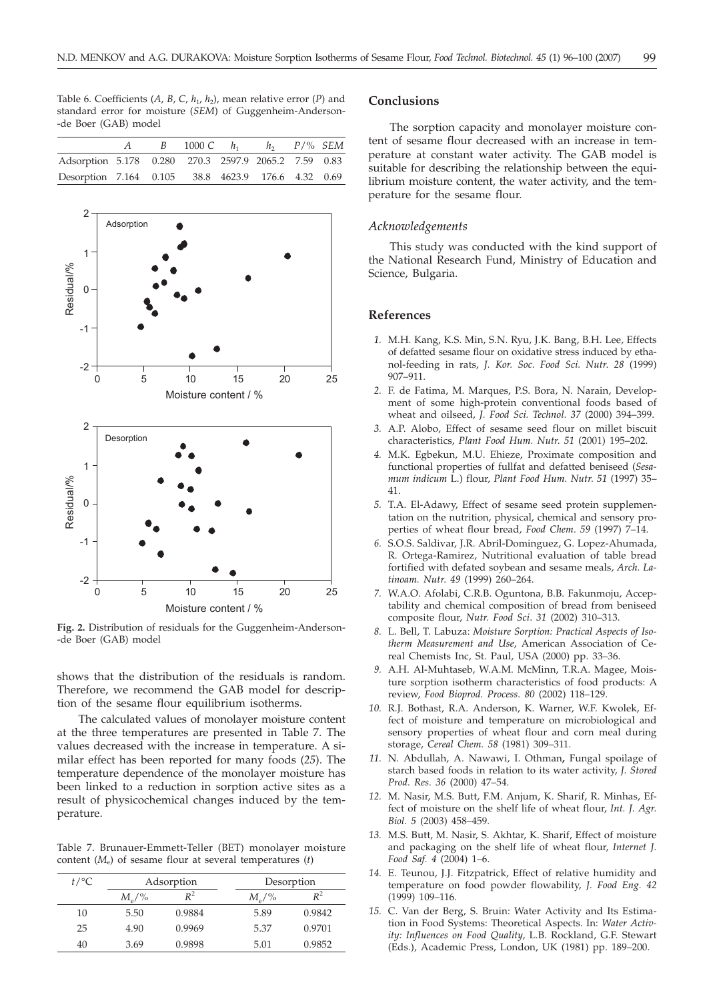Table 6. Coefficients  $(A, B, C, h_1, h_2)$ , mean relative error  $(P)$  and standard error for moisture (*SEM*) of Guggenheim-Anderson- -de Boer (GAB) model

|                                                      | B | 1000 $C$ $h_1$ $h_2$ $P/\%$ SEM |  |  |
|------------------------------------------------------|---|---------------------------------|--|--|
| Adsorption 5.178 0.280 270.3 2597.9 2065.2 7.59 0.83 |   |                                 |  |  |
| Desorption 7.164 0.105 38.8 4623.9 176.6 4.32 0.69   |   |                                 |  |  |



**Fig. 2.** Distribution of residuals for the Guggenheim-Anderson- -de Boer (GAB) model

shows that the distribution of the residuals is random. Therefore, we recommend the GAB model for description of the sesame flour equilibrium isotherms.

The calculated values of monolayer moisture content at the three temperatures are presented in Table 7. The values decreased with the increase in temperature. A similar effect has been reported for many foods (*25*). The temperature dependence of the monolayer moisture has been linked to a reduction in sorption active sites as a result of physicochemical changes induced by the temperature.

Table 7. Brunauer-Emmett-Teller (BET) monolayer moisture content (*M*e) of sesame flour at several temperatures (*t*)

| $t$ /°C | Adsorption     |        |                | Desorption     |
|---------|----------------|--------|----------------|----------------|
|         | $M_{\circ}/\%$ | $R^2$  | $M_{\circ}/\%$ | $\mathbb{R}^2$ |
| 10      | 5.50           | 0.9884 | 5.89           | 0.9842         |
| 25      | 4.90           | 0.9969 | 5.37           | 0.9701         |
| 40      | 3.69           | 0.9898 | 5.01           | 0.9852         |

## **Conclusions**

The sorption capacity and monolayer moisture content of sesame flour decreased with an increase in temperature at constant water activity. The GAB model is suitable for describing the relationship between the equilibrium moisture content, the water activity, and the temperature for the sesame flour.

## *Acknowledgements*

This study was conducted with the kind support of the National Research Fund, Ministry of Education and Science, Bulgaria.

## **References**

- *1.* M.H. Kang, K.S. Min, S.N. Ryu, J.K. Bang, B.H. Lee, Effects of defatted sesame flour on oxidative stress induced by ethanol-feeding in rats, *J. Kor. Soc. Food Sci. Nutr*. *28* (1999) 907–911.
- *2.* F. de Fatima, M. Marques, P.S. Bora, N. Narain, Development of some high-protein conventional foods based of wheat and oilseed, *J. Food Sci. Technol. 37* (2000) 394–399.
- *3.* A.P. Alobo, Effect of sesame seed flour on millet biscuit characteristics, *Plant Food Hum. Nutr*. *51* (2001) 195–202.
- *4.* M.K. Egbekun, M.U. Ehieze, Proximate composition and functional properties of fullfat and defatted beniseed (*Sesamum indicum* L.) flour, *Plant Food Hum. Nutr*. *51* (1997) 35– 41.
- *5.* T.A. El-Adawy, Effect of sesame seed protein supplementation on the nutrition, physical, chemical and sensory properties of wheat flour bread, *Food Chem*. *59* (1997) 7–14.
- *6.* S.O.S. Saldivar, J.R. Abril-Dominguez, G. Lopez-Ahumada, R. Ortega-Ramirez, Nutritional evaluation of table bread fortified with defated soybean and sesame meals, *Arch. Latinoam. Nutr*. *49* (1999) 260–264.
- *7.* W.A.O. Afolabi, C.R.B. Oguntona, B.B. Fakunmoju, Acceptability and chemical composition of bread from beniseed composite flour, *Nutr. Food Sci*. *31* (2002) 310–313.
- *8.* L. Bell, T. Labuza: *Moisture Sorption: Practical Aspects of Isotherm Measurement and Use*, American Association of Cereal Chemists Inc, St. Paul, USA (2000) pp. 33–36.
- *9.* A.H. Al-Muhtaseb, W.A.M. McMinn, T.R.A. Magee, Moisture sorption isotherm characteristics of food products: A review, *Food Bioprod. Process. 80* (2002) 118–129.
- *10.* R.J. Bothast, R.A. Anderson, K. Warner, W.F. Kwolek, Effect of moisture and temperature on microbiological and sensory properties of wheat flour and corn meal during storage, *Cereal Chem. 58* (1981) 309–311.
- *11.* N. Abdullah, A. Nawawi, I. Othman**,** Fungal spoilage of starch based foods in relation to its water activity, *J. Stored Prod. Res. 36* (2000) 47–54.
- *12.* M. Nasir, M.S. Butt, F.M. Anjum, K. Sharif, R. Minhas, Effect of moisture on the shelf life of wheat flour, *Int. J. Agr. Biol. 5* (2003) 458–459.
- *13.* M.S. Butt, M. Nasir, S. Akhtar, K. Sharif, Effect of moisture and packaging on the shelf life of wheat flour, *Internet J. Food Saf. 4* (2004) 1–6.
- *14.* E. Teunou, J.J. Fitzpatrick, Effect of relative humidity and temperature on food powder flowability, *J. Food Eng. 42* (1999) 109–116.
- *15.* C. Van der Berg, S. Bruin: Water Activity and Its Estimation in Food Systems: Theoretical Aspects. In: *Water Activity: Influences on Food Quality*, L.B. Rockland, G.F. Stewart (Eds.), Academic Press, London, UK (1981) pp. 189–200.